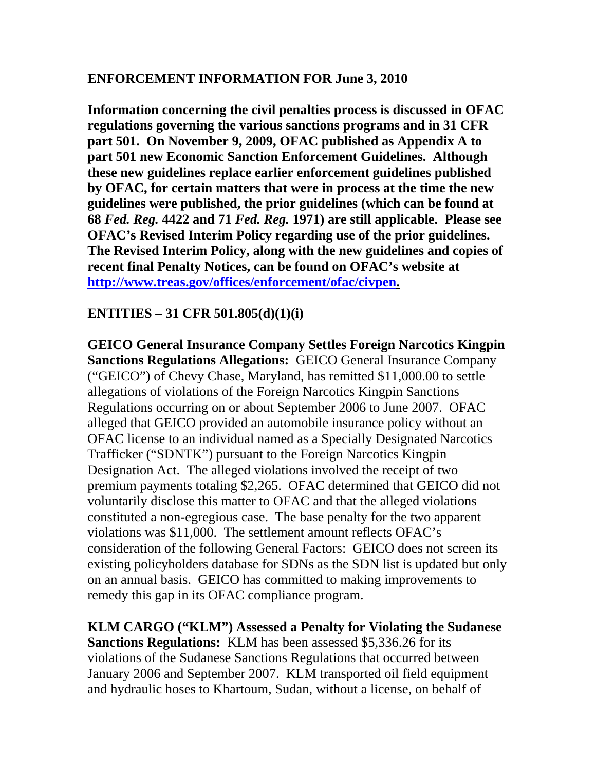## **ENFORCEMENT INFORMATION FOR June 3, 2010**

**Information concerning the civil penalties process is discussed in OFAC regulations governing the various sanctions programs and in 31 CFR part 501. On November 9, 2009, OFAC published as Appendix A to part 501 new Economic Sanction Enforcement Guidelines. Although these new guidelines replace earlier enforcement guidelines published by OFAC, for certain matters that were in process at the time the new guidelines were published, the prior guidelines (which can be found at 68** *Fed. Reg.* **4422 and 71** *Fed. Reg.* **1971) are still applicable. Please see OFAC's Revised Interim Policy regarding use of the prior guidelines. The Revised Interim Policy, along with the new guidelines and copies of recent final Penalty Notices, can be found on OFAC's website at <http://www.treas.gov/offices/enforcement/ofac/civpen>.**

## **ENTITIES – 31 CFR 501.805(d)(1)(i)**

**GEICO General Insurance Company Settles Foreign Narcotics Kingpin Sanctions Regulations Allegations:** GEICO General Insurance Company ("GEICO") of Chevy Chase, Maryland, has remitted \$11,000.00 to settle allegations of violations of the Foreign Narcotics Kingpin Sanctions Regulations occurring on or about September 2006 to June 2007. OFAC alleged that GEICO provided an automobile insurance policy without an OFAC license to an individual named as a Specially Designated Narcotics Trafficker ("SDNTK") pursuant to the Foreign Narcotics Kingpin Designation Act. The alleged violations involved the receipt of two premium payments totaling \$2,265. OFAC determined that GEICO did not voluntarily disclose this matter to OFAC and that the alleged violations constituted a non-egregious case. The base penalty for the two apparent violations was \$11,000. The settlement amount reflects OFAC's consideration of the following General Factors: GEICO does not screen its existing policyholders database for SDNs as the SDN list is updated but only on an annual basis. GEICO has committed to making improvements to remedy this gap in its OFAC compliance program.

**KLM CARGO ("KLM") Assessed a Penalty for Violating the Sudanese Sanctions Regulations:** KLM has been assessed \$5,336.26 for its violations of the Sudanese Sanctions Regulations that occurred between January 2006 and September 2007. KLM transported oil field equipment and hydraulic hoses to Khartoum, Sudan, without a license, on behalf of